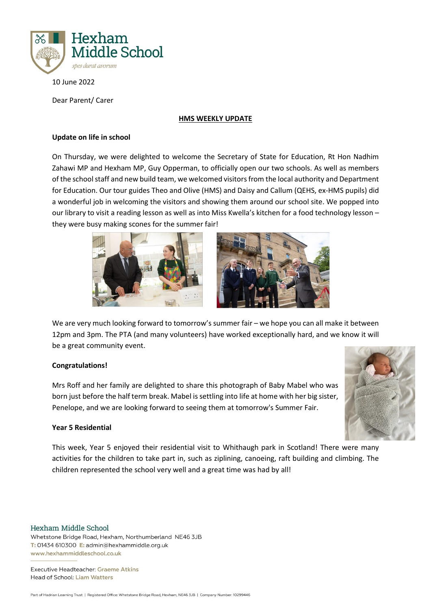

10 June 2022

Dear Parent/ Carer

#### **HMS WEEKLY UPDATE**

## **Update on life in school**

On Thursday, we were delighted to welcome the Secretary of State for Education, Rt Hon Nadhim Zahawi MP and Hexham MP, Guy Opperman, to officially open our two schools. As well as members of the school staff and new build team, we welcomed visitors from the local authority and Department for Education. Our tour guides Theo and Olive (HMS) and Daisy and Callum (QEHS, ex-HMS pupils) did a wonderful job in welcoming the visitors and showing them around our school site. We popped into our library to visit a reading lesson as well as into Miss Kwella's kitchen for a food technology lesson – they were busy making scones for the summer fair!



We are very much looking forward to tomorrow's summer fair – we hope you can all make it between 12pm and 3pm. The PTA (and many volunteers) have worked exceptionally hard, and we know it will be a great community event.

# **Congratulations!**

Mrs Roff and her family are delighted to share this photograph of Baby Mabel who was born just before the half term break. Mabel is settling into life at home with her big sister, Penelope, and we are looking forward to seeing them at tomorrow's Summer Fair.

## **Year 5 Residential**

This week, Year 5 enjoyed their residential visit to Whithaugh park in Scotland! There were many activities for the children to take part in, such as ziplining, canoeing, raft building and climbing. The children represented the school very well and a great time was had by all!

Hexham Middle School

Whetstone Bridge Road, Hexham, Northumberland NE46 3JB T: 01434 610300 E: admin@hexhammiddle.org.uk www.hexhammiddleschool.co.uk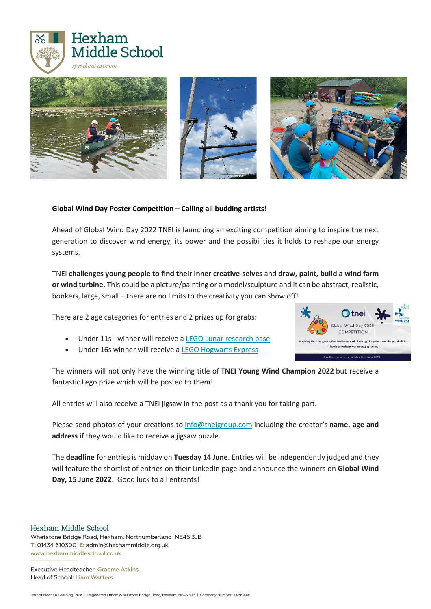



## **Global Wind Day Poster Competition – Calling all budding artists!**

Ahead of Global Wind Day 2022 TNEI is launching an exciting competition aiming to inspire the next generation to discover wind energy, its power and the possibilities it holds to reshape our energy systems.

TNEI **challenges young people to find their inner creative-selves** and **draw, paint, build a wind farm or wind turbine.** This could be a picture/painting or a model/sculpture and it can be abstract, realistic, bonkers, large, small – there are no limits to the creativity you can show off!

There are 2 age categories for entries and 2 prizes up for grabs:

- Under 11s winner will receive a LEGO Lunar [research](https://www.lego.com/en-gb/product/lunar-research-base-60350) base
- Under 16s winner will receive a **LEGO [Hogwarts](https://www.lego.com/en-gb/product/hogwarts-express-75955) Express**

The winners will not only have the winning title of **TNEI Young Wind Champion 2022** but receive a fantastic Lego prize which will be posted to them!

All entries will also receive a TNEI jigsaw in the post as a thank you for taking part.

Please send photos of your creations to [info@tneigroup.com](mailto:info@tneigroup.com?subject=Global%20Wind%20Day%202022%20competition) including the creator's **name, age and address** if they would like to receive a jigsaw puzzle.

The **deadline** for entries is midday on **Tuesday 14 June**. Entries will be independently judged and they will feature the shortlist of entries on their LinkedIn page and announce the winners on Global Wind **Day, 15 June 2022**. Good luck to all entrants!

Hexham Middle School

Whetstone Bridge Road, Hexham, Northumberland NE46 3JB T: 01434 610300 E: admin@hexhammiddle.org.uk www.hexhammiddleschool.co.uk

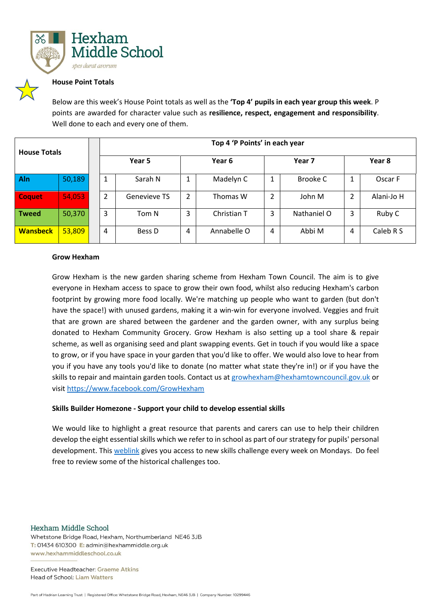

### **House Point Totals**

Below are this week's House Point totals as well as the **'Top 4' pupils in each year group this week**. P points are awarded for character value such as **resilience, respect, engagement and responsibility**. Well done to each and every one of them.

| <b>House Totals</b> |        | Top 4 'P Points' in each year |              |        |             |                |             |        |            |
|---------------------|--------|-------------------------------|--------------|--------|-------------|----------------|-------------|--------|------------|
|                     |        | Year 5                        |              | Year 6 |             | Year 7         |             | Year 8 |            |
| Aln                 | 50,189 | 1                             | Sarah N      | 1      | Madelyn C   | 1              | Brooke C    |        | Oscar F    |
| <b>Coquet</b>       | 54,053 | 2                             | Genevieve TS | 2      | Thomas W    | $\overline{2}$ | John M      | ∍      | Alani-Jo H |
| <b>Tweed</b>        | 50,370 | 3                             | Tom N        | 3      | Christian T | 3              | Nathaniel O | 3      | Ruby C     |
| <b>Wansbeck</b>     | 53,809 | 4                             | Bess D       | 4      | Annabelle O | 4              | Abbi M      | 4      | Caleb R S  |

#### **Grow Hexham**

Grow Hexham is the new garden sharing scheme from Hexham Town Council. The aim is to give everyone in Hexham access to space to grow their own food, whilst also reducing Hexham's carbon footprint by growing more food locally. We're matching up people who want to garden (but don't have the space!) with unused gardens, making it a win-win for everyone involved. Veggies and fruit that are grown are shared between the gardener and the garden owner, with any surplus being donated to Hexham Community Grocery. Grow Hexham is also setting up a tool share & repair scheme, as well as organising seed and plant swapping events. Get in touch if you would like a space to grow, or if you have space in your garden that you'd like to offer. We would also love to hear from you if you have any tools you'd like to donate (no matter what state they're in!) or if you have the skills to repair and maintain garden tools. Contact us at [growhexham@hexhamtowncouncil.gov.uk](mailto:growhexham@hexhamtowncouncil.gov.uk) or visit <https://www.facebook.com/GrowHexham>

#### **Skills Builder Homezone - Support your child to develop essential skills**

We would like to highlight a great resource that parents and carers can use to help their children develop the eight essential skills which we refer to in school as part of our strategy for pupils' personal development. This [weblink](https://www.skillsbuilder.org/homelearning/skills-challenges) gives you access to new skills challenge every week on Mondays. Do feel free to review some of the historical challenges too.

Hexham Middle School

Whetstone Bridge Road, Hexham, Northumberland NE46 3JB T: 01434 610300 E: admin@hexhammiddle.org.uk www.hexhammiddleschool.co.uk